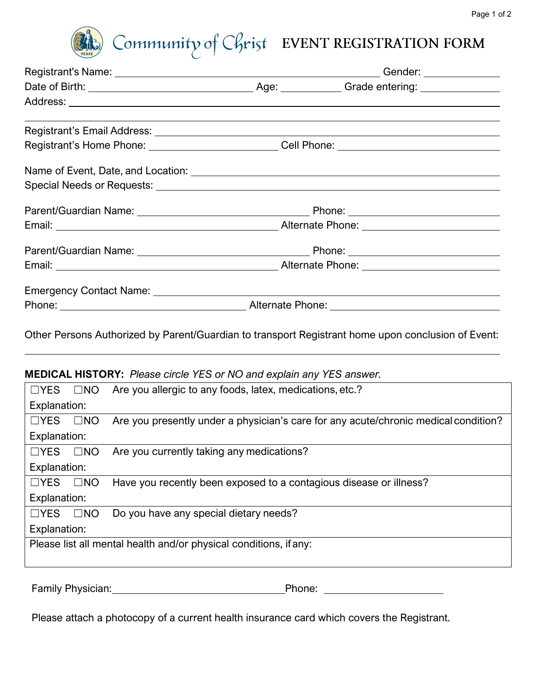

# Community of Christ EVENT REGISTRATION FORM

# Registrant's Name: Gender: Date of Birth: Case Contract Contract Age: Caractering: Grade entering: Address: Registrant's Email Address: Registrant's Home Phone: \_\_\_\_\_\_\_\_\_\_\_\_\_\_\_\_\_\_\_\_\_\_\_\_\_\_\_\_Cell Phone: \_\_\_\_\_\_\_\_\_\_\_\_\_\_\_ Name of Event, Date, and Location: Special Needs or Requests: Parent/Guardian Name: Phone: Email: Alternate Phone: Parent/Guardian Name: Phone: Phone: Phone: Email: Email: Email: Alternate Phone: Alternate Phone: Alternate Phone: Alternate Phone: Alternate Phone: Alternate Phone: Alternate Phone: Alternate Phone: Alternate Phone: Alternate Phone: Alternate Phone: Alternate Phon Emergency Contact Name: Phone: Alternate Phone:

Other Persons Authorized by Parent/Guardian to transport Registrant home upon conclusion of Event:

## **MEDICAL HISTORY:** *Please circle YES or NO and explain any YES answer.*

| $\Box$ YES                                                        | $\square$ NO | Are you allergic to any foods, latex, medications, etc.?                            |
|-------------------------------------------------------------------|--------------|-------------------------------------------------------------------------------------|
| Explanation:                                                      |              |                                                                                     |
| $\Box$ YES                                                        | $\square$ NO | Are you presently under a physician's care for any acute/chronic medical condition? |
| Explanation:                                                      |              |                                                                                     |
| $\Box$ YES                                                        | $\square$ NO | Are you currently taking any medications?                                           |
| Explanation:                                                      |              |                                                                                     |
| $\Box$ YES                                                        | $\square$ NO | Have you recently been exposed to a contagious disease or illness?                  |
| Explanation:                                                      |              |                                                                                     |
| $\Box$ YES                                                        | $\square$ NO | Do you have any special dietary needs?                                              |
| Explanation:                                                      |              |                                                                                     |
| Please list all mental health and/or physical conditions, if any: |              |                                                                                     |
|                                                                   |              |                                                                                     |
|                                                                   |              |                                                                                     |

Family Physician: Phone: Phone: Phone: Phone: Phone: Phone: Phone: Phone: Phone: Phone: Phone: Phone: Phone: Phone: Phone: Phone: Phone: Phone: Phone: Phone: Phone: Phone: Phone: Phone: Phone: Phone: Phone: Phone: Phone: P

Please attach a photocopy of a current health insurance card which covers the Registrant.